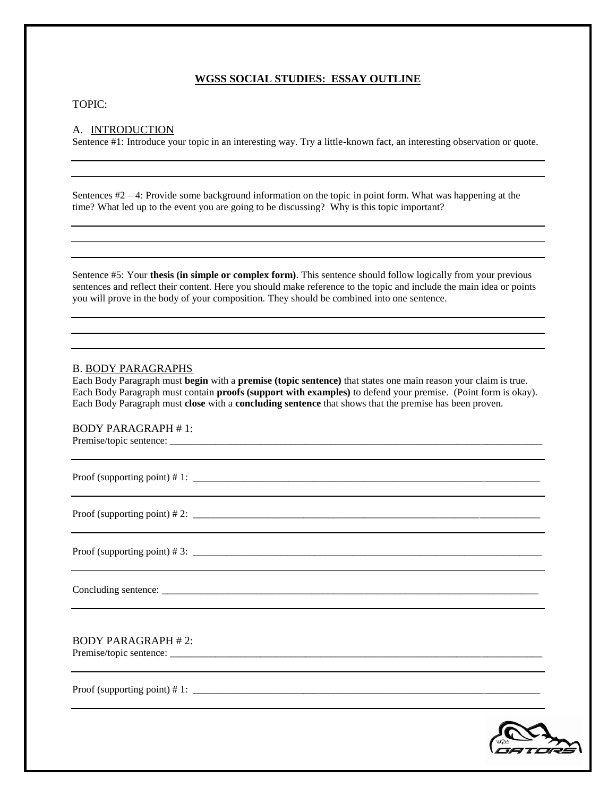# **WGSS SOCIAL STUDIES: ESSAY OUTLINE**

#### TOPIC:

## A. INTRODUCTION

Sentence #1: Introduce your topic in an interesting way. Try a little-known fact, an interesting observation or quote.

Sentences #2 – 4: Provide some background information on the topic in point form. What was happening at the time? What led up to the event you are going to be discussing? Why is this topic important?

Sentence #5: Your **thesis (in simple or complex form)**. This sentence should follow logically from your previous sentences and reflect their content. Here you should make reference to the topic and include the main idea or points you will prove in the body of your composition. They should be combined into one sentence.

#### B. BODY PARAGRAPHS

Each Body Paragraph must **begin** with a **premise (topic sentence)** that states one main reason your claim is true. Each Body Paragraph must contain **proofs (support with examples)** to defend your premise. (Point form is okay). Each Body Paragraph must **close** with a **concluding sentence** that shows that the premise has been proven.

## BODY PARAGRAPH # 1:

Premise/topic sentence: \_\_\_\_\_\_\_\_\_\_\_\_\_\_\_\_\_\_\_\_\_\_\_\_\_\_\_\_\_\_\_\_\_\_\_\_\_\_\_\_\_\_\_\_\_\_\_\_\_\_\_\_\_\_\_\_\_\_\_\_\_\_\_\_\_\_\_\_\_\_\_\_\_\_

Proof (supporting point)  $\# 1$ :

Proof (supporting point)  $\# 2$ :

Proof (supporting point)  $\# 3$ :

Concluding sentence: \_\_\_\_\_\_\_\_\_\_\_\_\_\_\_\_\_\_\_\_\_\_\_\_\_\_\_\_\_\_\_\_\_\_\_\_\_\_\_\_\_\_\_\_\_\_\_\_\_\_\_\_\_\_\_\_\_\_\_\_\_\_\_\_\_\_\_\_

# BODY PARAGRAPH # 2:

Premise/topic sentence: \_\_\_\_\_\_\_\_\_\_\_\_\_\_\_\_\_\_\_\_\_\_\_\_\_\_\_\_\_\_\_\_\_\_\_\_\_\_\_\_\_\_\_\_\_\_\_\_\_\_\_\_\_\_\_\_\_\_\_\_\_\_\_\_\_\_\_\_\_\_\_\_\_\_

Proof (supporting point) # 1: \_\_\_\_\_\_\_\_\_\_\_\_\_\_\_\_\_\_\_\_\_\_\_\_\_\_\_\_\_\_\_\_\_\_\_\_\_\_\_\_\_\_\_\_\_\_\_\_\_\_\_\_\_\_\_\_\_\_\_\_\_\_\_\_\_\_\_\_\_